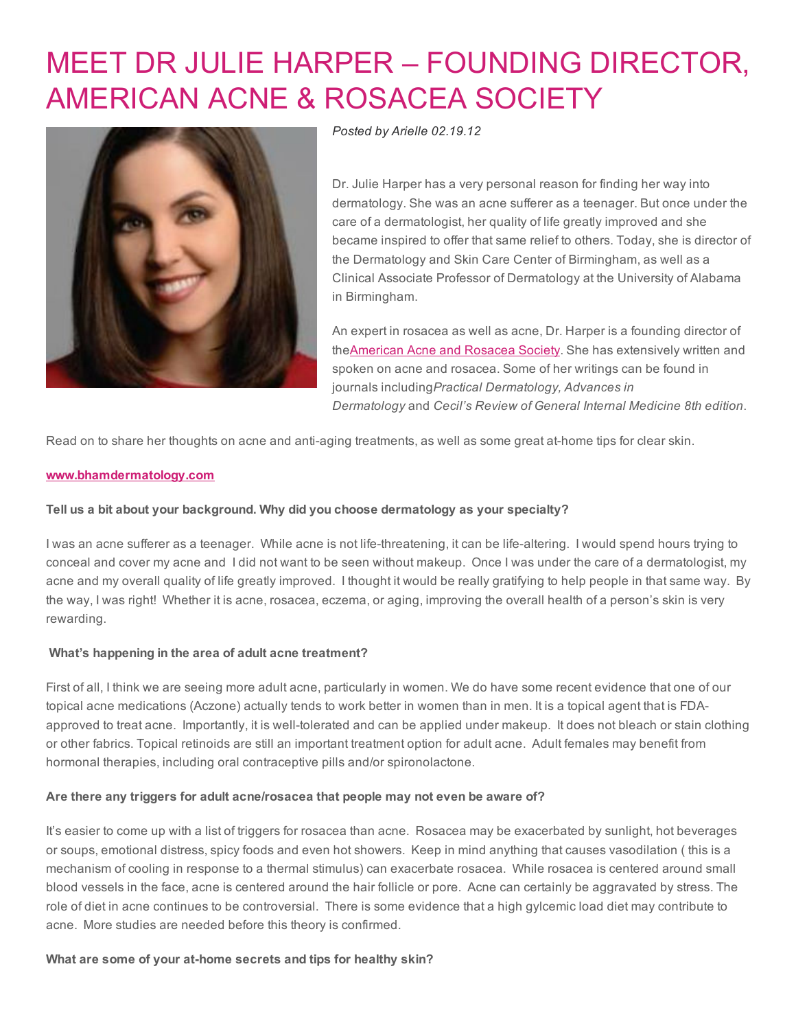# MEET DR JULIE HARPER – FOUNDING [DIRECTOR,](http://www.beautyinthebag.com/wordpress/meet-adult-acne-and-rosacea-specialist-dr-julie-c-harper/) AMERICAN ACNE & ROSACEA SOCIETY



*Posted by [Arielle](http://www.beautyinthebag.com/wordpress/author/arielle/) 02.19.12*

Dr. Julie Harper has a very personal reason for finding her way into dermatology. She was an acne sufferer as a teenager. But once under the care of a dermatologist, her quality of life greatly improved and she became inspired to offer that same relief to others. Today, she is director of the Dermatology and Skin Care Center of Birmingham, as well as a Clinical Associate Professor of Dermatology at the University of Alabama in Birmingham.

An expert in rosacea as well as acne, Dr. Harper is a founding director of th[eAmerican](http://www.acneandrosacea.org/) Acne and Rosacea Society. She has extensively written and spoken on acne and rosacea. Some of her writings can be found in journals including*Practical Dermatology, Advances in Dermatology* and *Cecil's Review of General Internal Medicine 8th edition*.

Read on to share her thoughts on acne and anti-aging treatments, as well as some great at-home tips for clear skin.

## [www.bhamdermatology.com](http://www.bhamdermatology.com/)

## Tell us a bit about your background. Why did you choose dermatology as your specialty?

I was an acne sufferer as a teenager. While acne is not life-threatening, it can be life-altering. I would spend hours trying to conceal and cover my acne and I did not want to be seen without makeup. Once I was under the care of a dermatologist, my acne and my overall quality of life greatly improved. I thought it would be really gratifying to help people in that same way. By the way, I was right! Whether it is acne, rosacea, eczema, or aging, improving the overall health of a person's skin is very rewarding.

# What's happening in the area of adult acne treatment?

First of all, I think we are seeing more adult acne, particularly in women. We do have some recent evidence that one of our topical acne medications (Aczone) actually tends to work better in women than in men. It is a topical agent that is FDAapproved to treat acne. Importantly, it is well-tolerated and can be applied under makeup. It does not bleach or stain clothing or other fabrics. Topical retinoids are still an important treatment option for adult acne. Adult females may benefit from hormonal therapies, including oral contraceptive pills and/or spironolactone.

#### Are there any triggers for adult acne/rosacea that people may not even be aware of?

It's easier to come up with a list of triggers for rosacea than acne. Rosacea may be exacerbated by sunlight, hot beverages or soups, emotional distress, spicy foods and even hot showers. Keep in mind anything that causes vasodilation ( this is a mechanism of cooling in response to a thermal stimulus) can exacerbate rosacea. While rosacea is centered around small blood vessels in the face, acne is centered around the hair follicle or pore. Acne can certainly be aggravated by stress. The role of diet in acne continues to be controversial. There is some evidence that a high gylcemic load diet may contribute to acne. More studies are needed before this theory is confirmed.

What are some of your at-home secrets and tips for healthy skin?